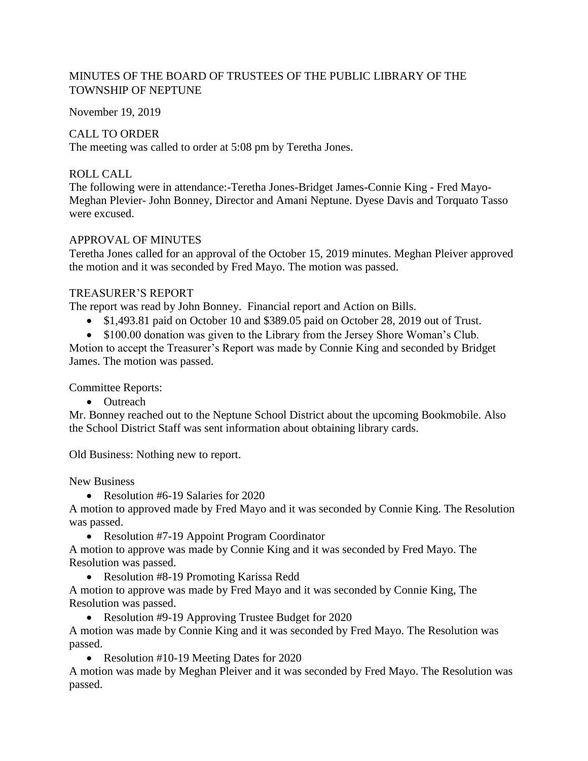# MINUTES OF THE BOARD OF TRUSTEES OF THE PUBLIC LIBRARY OF THE TOWNSHIP OF NEPTUNE

November 19, 2019

## CALL TO ORDER

The meeting was called to order at 5:08 pm by Teretha Jones.

# ROLL CALL

The following were in attendance:-Teretha Jones-Bridget James-Connie King - Fred Mayo-Meghan Plevier- John Bonney, Director and Amani Neptune. Dyese Davis and Torquato Tasso were excused.

## APPROVAL OF MINUTES

Teretha Jones called for an approval of the October 15, 2019 minutes. Meghan Pleiver approved the motion and it was seconded by Fred Mayo. The motion was passed.

## TREASURER'S REPORT

The report was read by John Bonney. Financial report and Action on Bills.

- \$1,493.81 paid on October 10 and \$389.05 paid on October 28, 2019 out of Trust.
- \$100.00 donation was given to the Library from the Jersey Shore Woman's Club.

Motion to accept the Treasurer's Report was made by Connie King and seconded by Bridget James. The motion was passed.

Committee Reports:

• Outreach

Mr. Bonney reached out to the Neptune School District about the upcoming Bookmobile. Also the School District Staff was sent information about obtaining library cards.

Old Business: Nothing new to report.

New Business

• Resolution #6-19 Salaries for 2020

A motion to approved made by Fred Mayo and it was seconded by Connie King. The Resolution was passed.

• Resolution #7-19 Appoint Program Coordinator

A motion to approve was made by Connie King and it was seconded by Fred Mayo. The Resolution was passed.

• Resolution #8-19 Promoting Karissa Redd

A motion to approve was made by Fred Mayo and it was seconded by Connie King, The Resolution was passed.

• Resolution #9-19 Approving Trustee Budget for 2020

A motion was made by Connie King and it was seconded by Fred Mayo. The Resolution was passed.

• Resolution #10-19 Meeting Dates for 2020

A motion was made by Meghan Pleiver and it was seconded by Fred Mayo. The Resolution was passed.